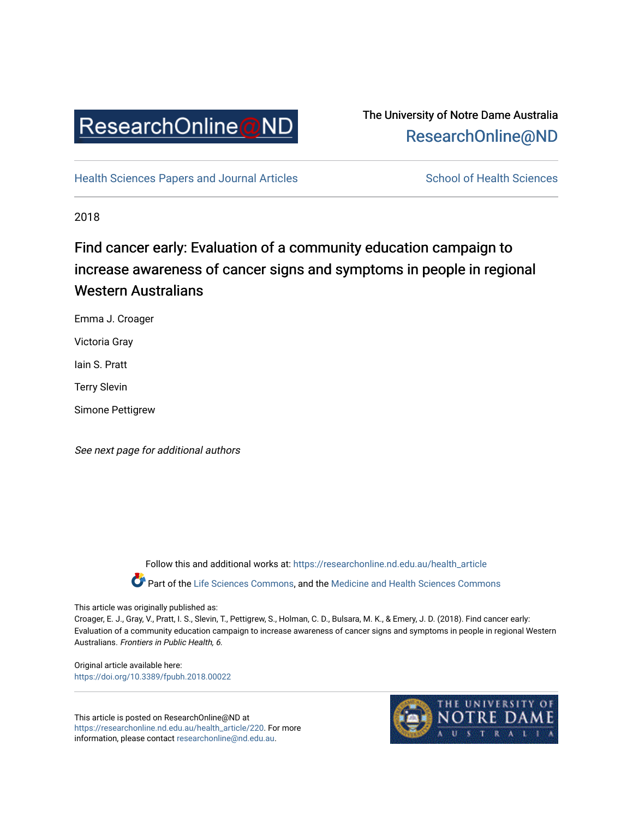

# The University of Notre Dame Australia [ResearchOnline@ND](https://researchonline.nd.edu.au/)

[Health Sciences Papers and Journal Articles](https://researchonline.nd.edu.au/health_article) School of Health Sciences

2018

# Find cancer early: Evaluation of a community education campaign to increase awareness of cancer signs and symptoms in people in regional Western Australians

Emma J. Croager

Victoria Gray

Iain S. Pratt

Terry Slevin

Simone Pettigrew

See next page for additional authors

Follow this and additional works at: [https://researchonline.nd.edu.au/health\\_article](https://researchonline.nd.edu.au/health_article?utm_source=researchonline.nd.edu.au%2Fhealth_article%2F220&utm_medium=PDF&utm_campaign=PDFCoverPages) Part of the [Life Sciences Commons](http://network.bepress.com/hgg/discipline/1016?utm_source=researchonline.nd.edu.au%2Fhealth_article%2F220&utm_medium=PDF&utm_campaign=PDFCoverPages), and the Medicine and Health Sciences Commons

This article was originally published as:

Croager, E. J., Gray, V., Pratt, I. S., Slevin, T., Pettigrew, S., Holman, C. D., Bulsara, M. K., & Emery, J. D. (2018). Find cancer early: Evaluation of a community education campaign to increase awareness of cancer signs and symptoms in people in regional Western Australians. Frontiers in Public Health, 6.

Original article available here: <https://doi.org/10.3389/fpubh.2018.00022>

This article is posted on ResearchOnline@ND at [https://researchonline.nd.edu.au/health\\_article/220](https://researchonline.nd.edu.au/health_article/220). For more information, please contact [researchonline@nd.edu.au.](mailto:researchonline@nd.edu.au)

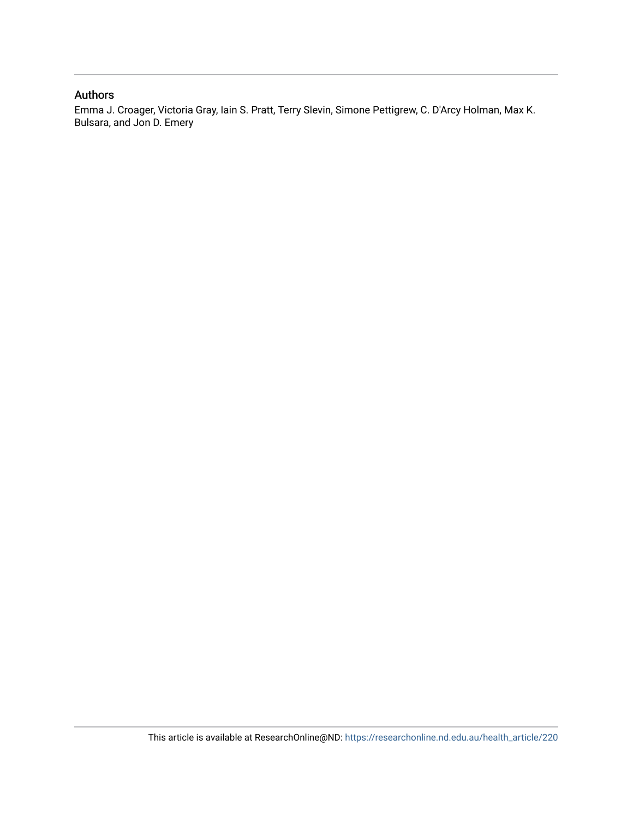#### Authors

Emma J. Croager, Victoria Gray, Iain S. Pratt, Terry Slevin, Simone Pettigrew, C. D'Arcy Holman, Max K. Bulsara, and Jon D. Emery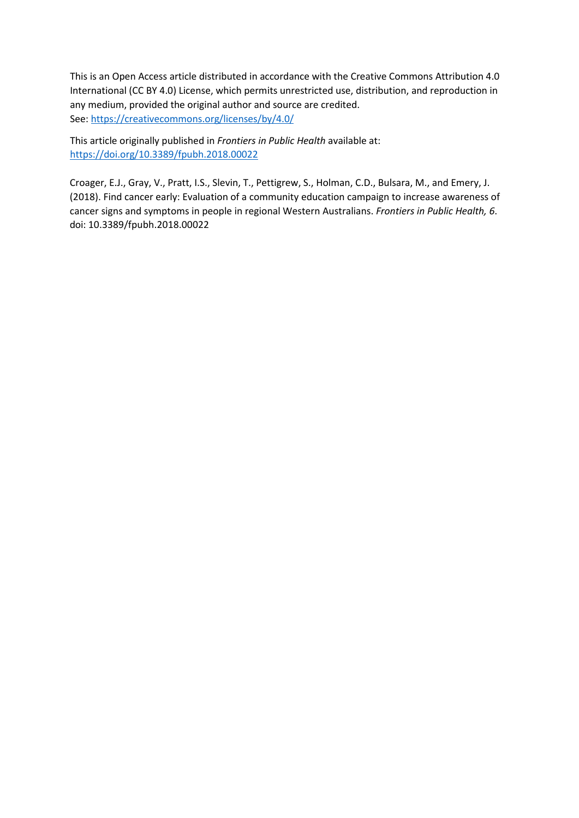This is an Open Access article distributed in accordance with the Creative Commons Attribution 4.0 International (CC BY 4.0) License, which permits unrestricted use, distribution, and reproduction in any medium, provided the original author and source are credited. See[: https://creativecommons.org/licenses/by/4.0/](https://creativecommons.org/licenses/by/4.0/) 

This article originally published in *Frontiers in Public Health* available at: <https://doi.org/10.3389/fpubh.2018.00022>

Croager, E.J., Gray, V., Pratt, I.S., Slevin, T., Pettigrew, S., Holman, C.D., Bulsara, M., and Emery, J. (2018). Find cancer early: Evaluation of a community education campaign to increase awareness of cancer signs and symptoms in people in regional Western Australians. *Frontiers in Public Health, 6*. doi: 10.3389/fpubh.2018.00022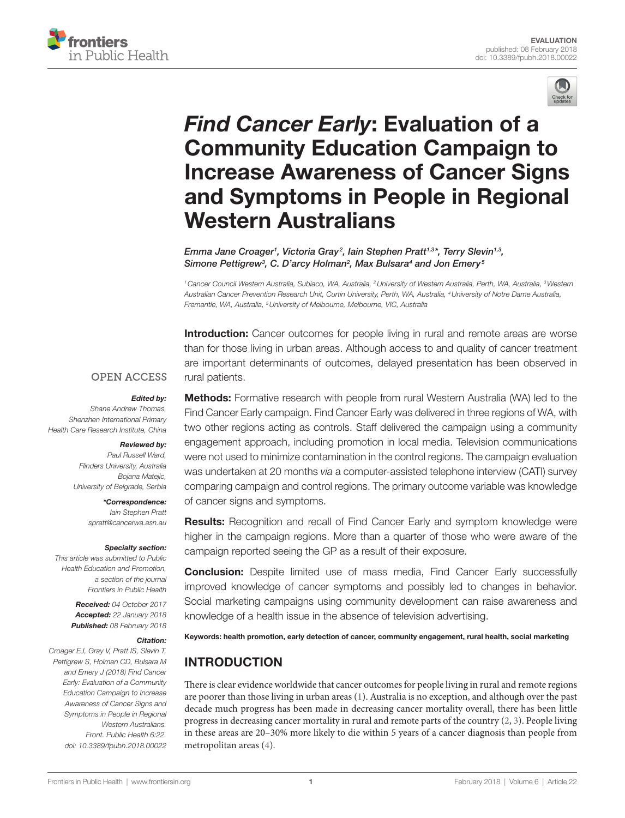



# *[Find Cancer Early](https://www.frontiersin.org/Journal/10.3389/fpubh.2018.00022/full)*: Evaluation of a [Community Education Campaign to](https://www.frontiersin.org/Journal/10.3389/fpubh.2018.00022/full)  **Increase Awareness of Cancer Signs** [and Symptoms in People in Regional](https://www.frontiersin.org/Journal/10.3389/fpubh.2018.00022/full)  **Western Australians**

*[Emma Jane Croager](http://loop.frontiersin.org/people/204858)1 , [Victoria Gray](http://loop.frontiersin.org/people/493911) <sup>2</sup> , [Iain Stephen Pratt1](http://loop.frontiersin.org/people/107395),3\*, Terry Slevin1,3, [Simone Pettigrew3](http://loop.frontiersin.org/people/494030) , C. D'arcy Holman2 , [Max Bulsara4](http://loop.frontiersin.org/people/483745) and Jon Emery <sup>5</sup>*

*1Cancer Council Western Australia, Subiaco, WA, Australia, 2University of Western Australia, Perth, WA, Australia, 3Western Australian Cancer Prevention Research Unit, Curtin University, Perth, WA, Australia, 4University of Notre Dame Australia, Fremantle, WA, Australia, 5University of Melbourne, Melbourne, VIC, Australia*

**Introduction:** Cancer outcomes for people living in rural and remote areas are worse than for those living in urban areas. Although access to and quality of cancer treatment are important determinants of outcomes, delayed presentation has been observed in rural patients.

#### **OPEN ACCESS**

#### *Edited by:*

*Shane Andrew Thomas, Shenzhen International Primary Health Care Research Institute, China*

#### *Reviewed by:*

*Paul Russell Ward, Flinders University, Australia Bojana Matejic, University of Belgrade, Serbia*

> *\*Correspondence: Iain Stephen Pratt [spratt@cancerwa.asn.au](mailto:spratt@cancerwa.asn.au)*

#### *Specialty section:*

*This article was submitted to Public Health Education and Promotion, a section of the journal Frontiers in Public Health*

> *Received: 04 October 2017 Accepted: 22 January 2018 Published: 08 February 2018*

#### *Citation:*

*Croager EJ, Gray V, Pratt IS, Slevin T, Pettigrew S, Holman CD, Bulsara M and Emery J (2018) Find Cancer Early: Evaluation of a Community Education Campaign to Increase Awareness of Cancer Signs and Symptoms in People in Regional Western Australians. Front. Public Health 6:22. doi: [10.3389/fpubh.2018.00022](https://doi.org/10.3389/fpubh.2018.00022)*

Methods: Formative research with people from rural Western Australia (WA) led to the Find Cancer Early campaign. Find Cancer Early was delivered in three regions of WA, with two other regions acting as controls. Staff delivered the campaign using a community engagement approach, including promotion in local media. Television communications were not used to minimize contamination in the control regions. The campaign evaluation was undertaken at 20 months via a computer-assisted telephone interview (CATI) survey comparing campaign and control regions. The primary outcome variable was knowledge of cancer signs and symptoms.

**Results:** Recognition and recall of Find Cancer Early and symptom knowledge were higher in the campaign regions. More than a quarter of those who were aware of the campaign reported seeing the GP as a result of their exposure.

**Conclusion:** Despite limited use of mass media, Find Cancer Early successfully improved knowledge of cancer symptoms and possibly led to changes in behavior. Social marketing campaigns using community development can raise awareness and knowledge of a health issue in the absence of television advertising.

Keywords: health promotion, early detection of cancer, community engagement, rural health, social marketing

# **INTRODUCTION**

There is clear evidence worldwide that cancer outcomes for people living in rural and remote regions are poorer than those living in urban areas ([1](#page-7-0)). Australia is no exception, and although over the past decade much progress has been made in decreasing cancer mortality overall, there has been little progress in decreasing cancer mortality in rural and remote parts of the country ([2](#page-7-1), [3\)](#page-7-2). People living in these areas are 20–30% more likely to die within 5 years of a cancer diagnosis than people from metropolitan areas [\(4\)](#page-7-3).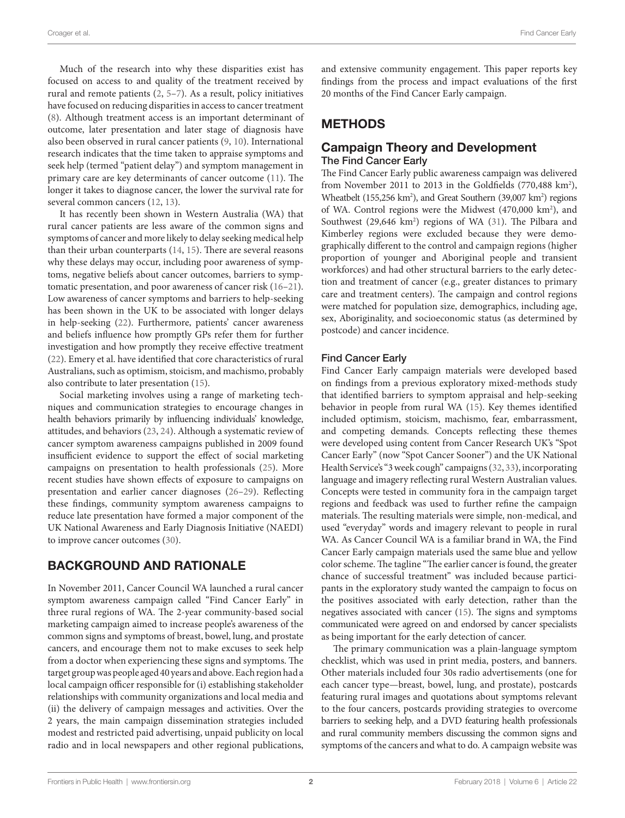Much of the research into why these disparities exist has focused on access to and quality of the treatment received by rural and remote patients [\(2,](#page-7-1) [5](#page-7-4)[–7\)](#page-7-5). As a result, policy initiatives have focused on reducing disparities in access to cancer treatment ([8](#page-8-0)). Although treatment access is an important determinant of outcome, later presentation and later stage of diagnosis have also been observed in rural cancer patients ([9](#page-8-1), [10\)](#page-8-2). International research indicates that the time taken to appraise symptoms and seek help (termed "patient delay") and symptom management in primary care are key determinants of cancer outcome ([11\)](#page-8-3). The longer it takes to diagnose cancer, the lower the survival rate for several common cancers ([12,](#page-8-4) [13](#page-8-5)).

It has recently been shown in Western Australia (WA) that rural cancer patients are less aware of the common signs and symptoms of cancer and more likely to delay seeking medical help than their urban counterparts [\(14](#page-8-6), 15). There are several reasons why these delays may occur, including poor awareness of symptoms, negative beliefs about cancer outcomes, barriers to symptomatic presentation, and poor awareness of cancer risk ([16–](#page-8-7)[21\)](#page-8-8). Low awareness of cancer symptoms and barriers to help-seeking has been shown in the UK to be associated with longer delays in help-seeking ([22\)](#page-8-9). Furthermore, patients' cancer awareness and beliefs influence how promptly GPs refer them for further investigation and how promptly they receive effective treatment ([22\)](#page-8-9). Emery et al. have identified that core characteristics of rural Australians, such as optimism, stoicism, and machismo, probably also contribute to later presentation (15).

Social marketing involves using a range of marketing techniques and communication strategies to encourage changes in health behaviors primarily by influencing individuals' knowledge, attitudes, and behaviors ([23,](#page-8-10) [24](#page-8-11)). Although a systematic review of cancer symptom awareness campaigns published in 2009 found insufficient evidence to support the effect of social marketing campaigns on presentation to health professionals [\(25](#page-8-12)). More recent studies have shown effects of exposure to campaigns on presentation and earlier cancer diagnoses ([26](#page-8-13)[–29](#page-8-14)). Reflecting these findings, community symptom awareness campaigns to reduce late presentation have formed a major component of the UK National Awareness and Early Diagnosis Initiative (NAEDI) to improve cancer outcomes ([30\)](#page-8-15).

## BACKGROUND AND RATIONALE

In November 2011, Cancer Council WA launched a rural cancer symptom awareness campaign called "Find Cancer Early" in three rural regions of WA. The 2-year community-based social marketing campaign aimed to increase people's awareness of the common signs and symptoms of breast, bowel, lung, and prostate cancers, and encourage them not to make excuses to seek help from a doctor when experiencing these signs and symptoms. The target group was people aged 40 years and above. Each region had a local campaign officer responsible for (i) establishing stakeholder relationships with community organizations and local media and (ii) the delivery of campaign messages and activities. Over the 2 years, the main campaign dissemination strategies included modest and restricted paid advertising, unpaid publicity on local radio and in local newspapers and other regional publications,

and extensive community engagement. This paper reports key findings from the process and impact evaluations of the first 20 months of the Find Cancer Early campaign.

# **METHODS**

#### Campaign Theory and Development The Find Cancer Early

The Find Cancer Early public awareness campaign was delivered from November 2011 to 2013 in the Goldfields  $(770,488 \text{ km}^2)$ , Wheatbelt (155,256 km<sup>2</sup>), and Great Southern (39,007 km<sup>2</sup>) regions of WA. Control regions were the Midwest (470,000 km<sup>2</sup>), and Southwest (29,646 km<sup>2</sup>) regions of WA [\(31](#page-8-16)). The Pilbara and Kimberley regions were excluded because they were demographically different to the control and campaign regions (higher proportion of younger and Aboriginal people and transient workforces) and had other structural barriers to the early detection and treatment of cancer (e.g., greater distances to primary care and treatment centers). The campaign and control regions were matched for population size, demographics, including age, sex, Aboriginality, and socioeconomic status (as determined by postcode) and cancer incidence.

#### Find Cancer Early

Find Cancer Early campaign materials were developed based on findings from a previous exploratory mixed-methods study that identified barriers to symptom appraisal and help-seeking behavior in people from rural WA (15). Key themes identified included optimism, stoicism, machismo, fear, embarrassment, and competing demands. Concepts reflecting these themes were developed using content from Cancer Research UK's "Spot Cancer Early" (now "Spot Cancer Sooner") and the UK National Health Service's "3 week cough" campaigns [\(32](#page-8-17), [33\)](#page-8-18), incorporating language and imagery reflecting rural Western Australian values. Concepts were tested in community fora in the campaign target regions and feedback was used to further refine the campaign materials. The resulting materials were simple, non-medical, and used "everyday" words and imagery relevant to people in rural WA. As Cancer Council WA is a familiar brand in WA, the Find Cancer Early campaign materials used the same blue and yellow color scheme. The tagline "The earlier cancer is found, the greater chance of successful treatment" was included because participants in the exploratory study wanted the campaign to focus on the positives associated with early detection, rather than the negatives associated with cancer ([15\)](#page-8-19). The signs and symptoms communicated were agreed on and endorsed by cancer specialists as being important for the early detection of cancer.

The primary communication was a plain-language symptom checklist, which was used in print media, posters, and banners. Other materials included four 30s radio advertisements (one for each cancer type—breast, bowel, lung, and prostate), postcards featuring rural images and quotations about symptoms relevant to the four cancers, postcards providing strategies to overcome barriers to seeking help, and a DVD featuring health professionals and rural community members discussing the common signs and symptoms of the cancers and what to do. A campaign website was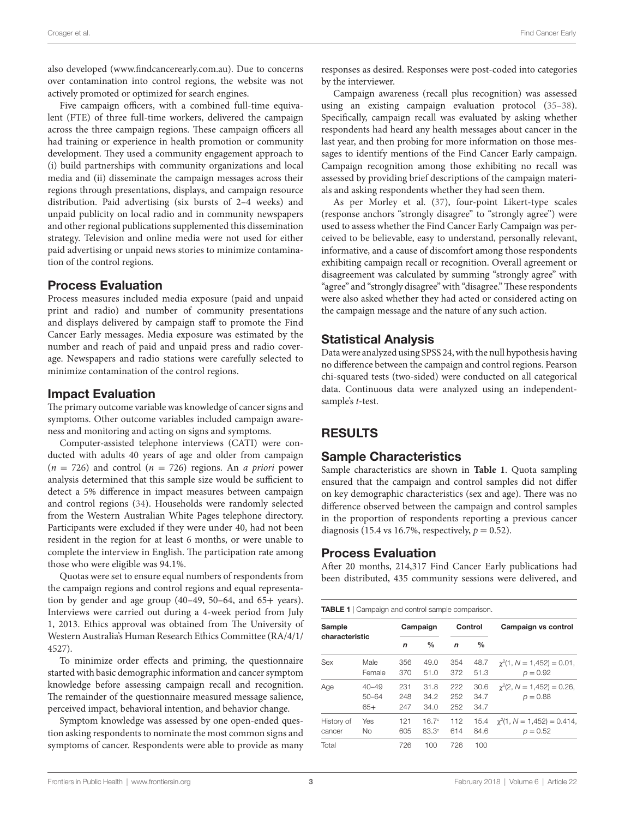also developed [\(www.findcancerearly.com.au](http://www.findcancerearly.com.au)). Due to concerns over contamination into control regions, the website was not actively promoted or optimized for search engines.

Five campaign officers, with a combined full-time equivalent (FTE) of three full-time workers, delivered the campaign across the three campaign regions. These campaign officers all had training or experience in health promotion or community development. They used a community engagement approach to (i) build partnerships with community organizations and local media and (ii) disseminate the campaign messages across their regions through presentations, displays, and campaign resource distribution. Paid advertising (six bursts of 2–4 weeks) and unpaid publicity on local radio and in community newspapers and other regional publications supplemented this dissemination strategy. Television and online media were not used for either paid advertising or unpaid news stories to minimize contamination of the control regions.

#### Process Evaluation

Process measures included media exposure (paid and unpaid print and radio) and number of community presentations and displays delivered by campaign staff to promote the Find Cancer Early messages. Media exposure was estimated by the number and reach of paid and unpaid press and radio coverage. Newspapers and radio stations were carefully selected to minimize contamination of the control regions.

#### Impact Evaluation

The primary outcome variable was knowledge of cancer signs and symptoms. Other outcome variables included campaign awareness and monitoring and acting on signs and symptoms.

Computer-assisted telephone interviews (CATI) were conducted with adults 40 years of age and older from campaign  $(n = 726)$  and control  $(n = 726)$  regions. An *a priori* power analysis determined that this sample size would be sufficient to detect a 5% difference in impact measures between campaign and control regions [\(34](#page-8-20)). Households were randomly selected from the Western Australian White Pages telephone directory. Participants were excluded if they were under 40, had not been resident in the region for at least 6 months, or were unable to complete the interview in English. The participation rate among those who were eligible was 94.1%.

Quotas were set to ensure equal numbers of respondents from the campaign regions and control regions and equal representation by gender and age group (40–49, 50–64, and 65+ years). Interviews were carried out during a 4-week period from July 1, 2013. Ethics approval was obtained from The University of Western Australia's Human Research Ethics Committee (RA/4/1/ 4527).

To minimize order effects and priming, the questionnaire started with basic demographic information and cancer symptom knowledge before assessing campaign recall and recognition. The remainder of the questionnaire measured message salience, perceived impact, behavioral intention, and behavior change.

Symptom knowledge was assessed by one open-ended question asking respondents to nominate the most common signs and symptoms of cancer. Respondents were able to provide as many

responses as desired. Responses were post-coded into categories by the interviewer.

Campaign awareness (recall plus recognition) was assessed using an existing campaign evaluation protocol [\(35](#page-8-21)[–38](#page-8-22)). Specifically, campaign recall was evaluated by asking whether respondents had heard any health messages about cancer in the last year, and then probing for more information on those messages to identify mentions of the Find Cancer Early campaign. Campaign recognition among those exhibiting no recall was assessed by providing brief descriptions of the campaign materials and asking respondents whether they had seen them.

As per Morley et al. ([37\)](#page-8-23), four-point Likert-type scales (response anchors "strongly disagree" to "strongly agree") were used to assess whether the Find Cancer Early Campaign was perceived to be believable, easy to understand, personally relevant, informative, and a cause of discomfort among those respondents exhibiting campaign recall or recognition. Overall agreement or disagreement was calculated by summing "strongly agree" with "agree" and "strongly disagree" with "disagree." These respondents were also asked whether they had acted or considered acting on the campaign message and the nature of any such action.

## Statistical Analysis

Data were analyzed using SPSS 24, with the null hypothesis having no difference between the campaign and control regions. Pearson chi-squared tests (two-sided) were conducted on all categorical data. Continuous data were analyzed using an independentsample's *t*-test.

# RESULTS

#### Sample Characteristics

Sample characteristics are shown in **[Table 1](#page-5-0)**. Quota sampling ensured that the campaign and control samples did not differ on key demographic characteristics (sex and age). There was no difference observed between the campaign and control samples in the proportion of respondents reporting a previous cancer diagnosis (15.4 vs 16.7%, respectively,  $p = 0.52$ ).

#### Process Evaluation

After 20 months, 214,317 Find Cancer Early publications had been distributed, 435 community sessions were delivered, and

<span id="page-5-0"></span>

| characteristic | Male      | n   | $\frac{0}{0}$ | n   |               |                                   |  |
|----------------|-----------|-----|---------------|-----|---------------|-----------------------------------|--|
|                |           |     |               |     | $\frac{0}{0}$ |                                   |  |
| Sex            |           | 356 | 49.0          | 354 | 48.7          | $\gamma^2$ (1, N = 1,452) = 0.01, |  |
|                | Female    | 370 | 51.0          | 372 | 51.3          | $p = 0.92$                        |  |
| Age            | $40 - 49$ | 231 | 31.8          | 222 | 30.6          | $\gamma^2$ (2, N = 1,452) = 0.26, |  |
|                | $50 - 64$ | 248 | 34.2          | 252 | 34.7          | $p = 0.88$                        |  |
|                | $65+$     | 247 | 34.0          | 252 | 34.7          |                                   |  |
| History of     | Yes       | 121 | $16.7^\circ$  | 112 | 15.4          | $\chi^2(1, N = 1,452) = 0.414$ ,  |  |
| cancer         | No.       | 605 | $83.3^\circ$  | 614 | 84.6          | $p = 0.52$                        |  |
| Total          |           | 726 | 100           | 726 | 100           |                                   |  |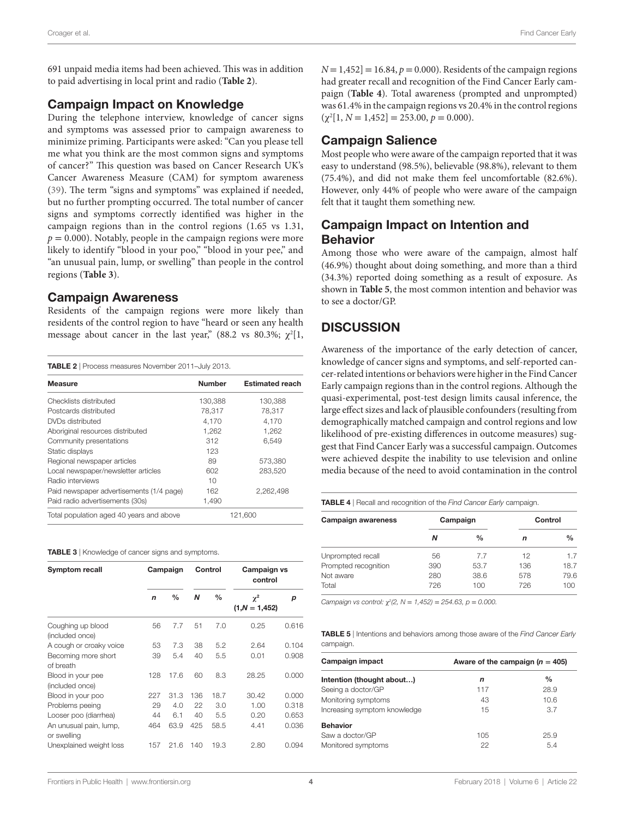691 unpaid media items had been achieved. This was in addition to paid advertising in local print and radio (**[Table 2](#page-6-0)**).

#### Campaign Impact on Knowledge

During the telephone interview, knowledge of cancer signs and symptoms was assessed prior to campaign awareness to minimize priming. Participants were asked: "Can you please tell me what you think are the most common signs and symptoms of cancer?" This question was based on Cancer Research UK's Cancer Awareness Measure (CAM) for symptom awareness ([39\)](#page-8-24). The term "signs and symptoms" was explained if needed, but no further prompting occurred. The total number of cancer signs and symptoms correctly identified was higher in the campaign regions than in the control regions (1.65 vs 1.31,  $p = 0.000$ ). Notably, people in the campaign regions were more likely to identify "blood in your poo," "blood in your pee," and "an unusual pain, lump, or swelling" than people in the control regions (**[Table 3](#page-6-1)**).

#### Campaign Awareness

Residents of the campaign regions were more likely than residents of the control region to have "heard or seen any health message about cancer in the last year," (88.2 vs 80.3%;  $\chi^2[1,$ 

<span id="page-6-0"></span>

| <b>TABLE 2</b>   Process measures November 2011-July 2013. |               |                        |  |  |  |
|------------------------------------------------------------|---------------|------------------------|--|--|--|
| <b>Measure</b>                                             | <b>Number</b> | <b>Estimated reach</b> |  |  |  |
| Checklists distributed                                     | 130,388       | 130,388                |  |  |  |
| Postcards distributed                                      | 78,317        | 78.317                 |  |  |  |
| DVDs distributed                                           | 4,170         | 4,170                  |  |  |  |
| Aboriginal resources distributed                           | 1,262         | 1,262                  |  |  |  |
| Community presentations                                    | 312           | 6.549                  |  |  |  |
| Static displays                                            | 123           |                        |  |  |  |
| Regional newspaper articles                                | 89            | 573,380                |  |  |  |
| Local newspaper/newsletter articles                        | 602           | 283.520                |  |  |  |
| Radio interviews                                           | 10            |                        |  |  |  |
| Paid newspaper advertisements (1/4 page)                   | 162           | 2.262.498              |  |  |  |
| Paid radio advertisements (30s)                            | 1,490         |                        |  |  |  |
| Total population aged 40 years and above                   | 121.600       |                        |  |  |  |

<span id="page-6-1"></span>TABLE 3 | Knowledge of cancer signs and symptoms.

| Symptom recall                        | Campaign    |               | Control |               | Campaign vs<br>control      |       |
|---------------------------------------|-------------|---------------|---------|---------------|-----------------------------|-------|
|                                       | $\mathbf n$ | $\frac{0}{0}$ | N       | $\frac{0}{0}$ | $\chi^2$<br>$(1,N = 1,452)$ | р     |
| Coughing up blood<br>(included once)  | 56          | 7.7           | 51      | 7.0           | 0.25                        | 0.616 |
| A cough or croaky voice               | 53          | 7.3           | 38      | 5.2           | 2.64                        | 0.104 |
| Becoming more short<br>of breath      | 39          | 5.4           | 40      | 5.5           | 0.01                        | 0.908 |
| Blood in your pee<br>(included once)  | 128         | 17.6          | 60      | 8.3           | 28.25                       | 0.000 |
| Blood in your poo                     | 227         | 31.3          | 136     | 18.7          | 30.42                       | 0.000 |
| Problems peeing                       | 29          | 4.0           | 22      | 3.0           | 1.00                        | 0.318 |
| Looser poo (diarrhea)                 | 44          | 6.1           | 40      | 5.5           | 0.20                        | 0.653 |
| An unusual pain, lump,<br>or swelling | 464         | 63.9          | 425     | 58.5          | 4.41                        | 0.036 |
| Unexplained weight loss               | 157         | 21.6          | 140     | 19.3          | 2.80                        | 0.094 |

 $N = 1,452$  = 16.84,  $p = 0.000$ ). Residents of the campaign regions had greater recall and recognition of the Find Cancer Early campaign (**[Table 4](#page-6-2)**). Total awareness (prompted and unprompted) was 61.4% in the campaign regions vs 20.4% in the control regions  $(\chi^2[1, N = 1,452] = 253.00, p = 0.000).$ 

## **Campaign Salience**

Most people who were aware of the campaign reported that it was easy to understand (98.5%), believable (98.8%), relevant to them (75.4%), and did not make them feel uncomfortable (82.6%). However, only 44% of people who were aware of the campaign felt that it taught them something new.

## Campaign Impact on Intention and Behavior

Among those who were aware of the campaign, almost half (46.9%) thought about doing something, and more than a third (34.3%) reported doing something as a result of exposure. As shown in **[Table 5](#page-6-3)**, the most common intention and behavior was to see a doctor/GP.

# **DISCUSSION**

Awareness of the importance of the early detection of cancer, knowledge of cancer signs and symptoms, and self-reported cancer-related intentions or behaviors were higher in the Find Cancer Early campaign regions than in the control regions. Although the quasi-experimental, post-test design limits causal inference, the large effect sizes and lack of plausible confounders (resulting from demographically matched campaign and control regions and low likelihood of pre-existing differences in outcome measures) suggest that Find Cancer Early was a successful campaign. Outcomes were achieved despite the inability to use television and online media because of the need to avoid contamination in the control

<span id="page-6-2"></span>Table 4 | Recall and recognition of the *Find Cancer Early* campaign.

| <b>Campaign awareness</b> |     | Campaign      | Control |               |  |
|---------------------------|-----|---------------|---------|---------------|--|
|                           | Ν   | $\frac{0}{0}$ | n       | $\frac{0}{0}$ |  |
| Unprompted recall         | 56  | 7.7           | 12      | 17            |  |
| Prompted recognition      | 390 | 53.7          | 136     | 18.7          |  |
| Not aware                 | 280 | 38.6          | 578     | 79.6          |  |
| Total                     | 726 | 100           | 726     | 100           |  |

*Campaign vs control:* χ*<sup>2</sup> (2, N* = *1,452)* = *254.63, p* = *0.000.*

<span id="page-6-3"></span>Table 5 | Intentions and behaviors among those aware of the *Find Cancer Early* campaign.

| Campaign impact              | Aware of the campaign $(n = 405)$ |      |  |  |
|------------------------------|-----------------------------------|------|--|--|
| Intention (thought about)    | n                                 | $\%$ |  |  |
| Seeing a doctor/GP           | 117                               | 28.9 |  |  |
| Monitoring symptoms          | 43                                | 10.6 |  |  |
| Increasing symptom knowledge | 15                                | 3.7  |  |  |
| <b>Behavior</b>              |                                   |      |  |  |
| Saw a doctor/GP              | 105                               | 25.9 |  |  |
| Monitored symptoms           | 22                                | 5.4  |  |  |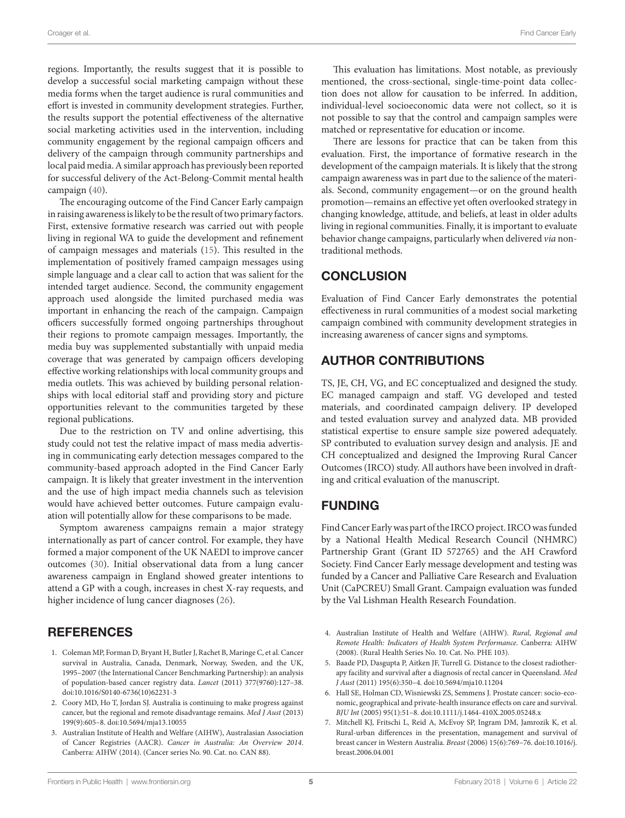regions. Importantly, the results suggest that it is possible to develop a successful social marketing campaign without these media forms when the target audience is rural communities and effort is invested in community development strategies. Further, the results support the potential effectiveness of the alternative social marketing activities used in the intervention, including community engagement by the regional campaign officers and delivery of the campaign through community partnerships and local paid media. A similar approach has previously been reported for successful delivery of the Act-Belong-Commit mental health campaign ([40\)](#page-8-25).

The encouraging outcome of the Find Cancer Early campaign in raising awareness is likely to be the result of two primary factors. First, extensive formative research was carried out with people living in regional WA to guide the development and refinement of campaign messages and materials (15). This resulted in the implementation of positively framed campaign messages using simple language and a clear call to action that was salient for the intended target audience. Second, the community engagement approach used alongside the limited purchased media was important in enhancing the reach of the campaign. Campaign officers successfully formed ongoing partnerships throughout their regions to promote campaign messages. Importantly, the media buy was supplemented substantially with unpaid media coverage that was generated by campaign officers developing effective working relationships with local community groups and media outlets. This was achieved by building personal relationships with local editorial staff and providing story and picture opportunities relevant to the communities targeted by these regional publications.

Due to the restriction on TV and online advertising, this study could not test the relative impact of mass media advertising in communicating early detection messages compared to the community-based approach adopted in the Find Cancer Early campaign. It is likely that greater investment in the intervention and the use of high impact media channels such as television would have achieved better outcomes. Future campaign evaluation will potentially allow for these comparisons to be made.

Symptom awareness campaigns remain a major strategy internationally as part of cancer control. For example, they have formed a major component of the UK NAEDI to improve cancer outcomes [\(30\)](#page-8-15). Initial observational data from a lung cancer awareness campaign in England showed greater intentions to attend a GP with a cough, increases in chest X-ray requests, and higher incidence of lung cancer diagnoses [\(26\)](#page-8-13).

# **REFERENCES**

- <span id="page-7-0"></span>1. Coleman MP, Forman D, Bryant H, Butler J, Rachet B, Maringe C, et al. Cancer survival in Australia, Canada, Denmark, Norway, Sweden, and the UK, 1995–2007 (the International Cancer Benchmarking Partnership): an analysis of population-based cancer registry data. *Lancet* (2011) 377(9760):127–38. doi:[10.1016/S0140-6736\(10\)62231-3](https://doi.org/10.1016/S0140-6736(10)62231-3)
- <span id="page-7-1"></span>2. Coory MD, Ho T, Jordan SJ. Australia is continuing to make progress against cancer, but the regional and remote disadvantage remains. *Med J Aust* (2013) 199(9):605–8. doi:[10.5694/mja13.10055](https://doi.org/10.5694/mja13.10055)
- <span id="page-7-2"></span>3. Australian Institute of Health and Welfare (AIHW), Australasian Association of Cancer Registries (AACR). *Cancer in Australia: An Overview 2014*. Canberra: AIHW (2014). (Cancer series No. 90. Cat. no. CAN 88).

This evaluation has limitations. Most notable, as previously mentioned, the cross-sectional, single-time-point data collection does not allow for causation to be inferred. In addition, individual-level socioeconomic data were not collect, so it is not possible to say that the control and campaign samples were matched or representative for education or income.

There are lessons for practice that can be taken from this evaluation. First, the importance of formative research in the development of the campaign materials. It is likely that the strong campaign awareness was in part due to the salience of the materials. Second, community engagement—or on the ground health promotion—remains an effective yet often overlooked strategy in changing knowledge, attitude, and beliefs, at least in older adults living in regional communities. Finally, it is important to evaluate behavior change campaigns, particularly when delivered *via* nontraditional methods.

# **CONCLUSION**

Evaluation of Find Cancer Early demonstrates the potential effectiveness in rural communities of a modest social marketing campaign combined with community development strategies in increasing awareness of cancer signs and symptoms.

# AUTHOR CONTRIBUTIONS

TS, JE, CH, VG, and EC conceptualized and designed the study. EC managed campaign and staff. VG developed and tested materials, and coordinated campaign delivery. IP developed and tested evaluation survey and analyzed data. MB provided statistical expertise to ensure sample size powered adequately. SP contributed to evaluation survey design and analysis. JE and CH conceptualized and designed the Improving Rural Cancer Outcomes (IRCO) study. All authors have been involved in drafting and critical evaluation of the manuscript.

# FUNDING

Find Cancer Early was part of the IRCO project. IRCO was funded by a National Health Medical Research Council (NHMRC) Partnership Grant (Grant ID 572765) and the AH Crawford Society. Find Cancer Early message development and testing was funded by a Cancer and Palliative Care Research and Evaluation Unit (CaPCREU) Small Grant. Campaign evaluation was funded by the Val Lishman Health Research Foundation.

- <span id="page-7-3"></span>4. Australian Institute of Health and Welfare (AIHW). *Rural, Regional and Remote Health: Indicators of Health System Performance*. Canberra: AIHW (2008). (Rural Health Series No. 10. Cat. No. PHE 103).
- <span id="page-7-4"></span>5. Baade PD, Dasgupta P, Aitken JF, Turrell G. Distance to the closest radiotherapy facility and survival after a diagnosis of rectal cancer in Queensland. *Med J Aust* (2011) 195(6):350–4. doi[:10.5694/mja10.11204](https://doi.org/10.5694/mja10.11204)
- 6. Hall SE, Holman CD, Wisniewski ZS, Semmens J. Prostate cancer: socio-economic, geographical and private-health insurance effects on care and survival. *BJU Int* (2005) 95(1):51–8. doi[:10.1111/j.1464-410X.2005.05248.x](https://doi.org/10.1111/j.1464-410X.2005.05248.x)
- <span id="page-7-5"></span>7. Mitchell KJ, Fritschi L, Reid A, McEvoy SP, Ingram DM, Jamrozik K, et al. Rural-urban differences in the presentation, management and survival of breast cancer in Western Australia. *Breast* (2006) 15(6):769–76. doi:[10.1016/j.](https://doi.org/10.1016/j.breast.2006.04.001) [breast.2006.04.001](https://doi.org/10.1016/j.breast.2006.04.001)